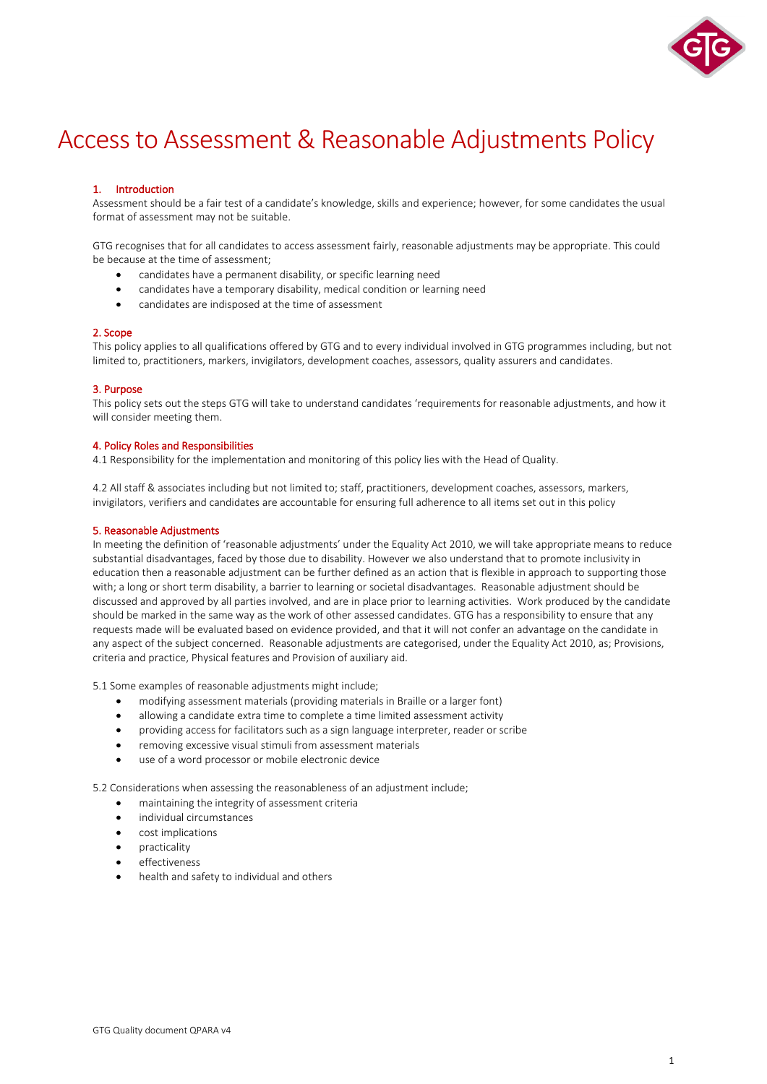

# Access to Assessment & Reasonable Adjustments Policy

# 1. Introduction

Assessment should be a fair test of a candidate's knowledge, skills and experience; however, for some candidates the usual format of assessment may not be suitable.

GTG recognises that for all candidates to access assessment fairly, reasonable adjustments may be appropriate. This could be because at the time of assessment;

- candidates have a permanent disability, or specific learning need
- candidates have a temporary disability, medical condition or learning need
- candidates are indisposed at the time of assessment

# 2. Scope

This policy applies to all qualifications offered by GTG and to every individual involved in GTG programmes including, but not limited to, practitioners, markers, invigilators, development coaches, assessors, quality assurers and candidates.

# 3. Purpose

This policy sets out the steps GTG will take to understand candidates 'requirements for reasonable adjustments, and how it will consider meeting them.

# 4. Policy Roles and Responsibilities

4.1 Responsibility for the implementation and monitoring of this policy lies with the Head of Quality.

4.2 All staff & associates including but not limited to; staff, practitioners, development coaches, assessors, markers, invigilators, verifiers and candidates are accountable for ensuring full adherence to all items set out in this policy

# 5. Reasonable Adjustments

In meeting the definition of 'reasonable adjustments' under the Equality Act 2010, we will take appropriate means to reduce substantial disadvantages, faced by those due to disability. However we also understand that to promote inclusivity in education then a reasonable adjustment can be further defined as an action that is flexible in approach to supporting those with; a long or short term disability, a barrier to learning or societal disadvantages. Reasonable adjustment should be discussed and approved by all parties involved, and are in place prior to learning activities. Work produced by the candidate should be marked in the same way as the work of other assessed candidates. GTG has a responsibility to ensure that any requests made will be evaluated based on evidence provided, and that it will not confer an advantage on the candidate in any aspect of the subject concerned. Reasonable adjustments are categorised, under the Equality Act 2010, as; Provisions, criteria and practice, Physical features and Provision of auxiliary aid.

5.1 Some examples of reasonable adjustments might include;

- modifying assessment materials (providing materials in Braille or a larger font)
- allowing a candidate extra time to complete a time limited assessment activity
- providing access for facilitators such as a sign language interpreter, reader or scribe
- removing excessive visual stimuli from assessment materials
- use of a word processor or mobile electronic device

5.2 Considerations when assessing the reasonableness of an adjustment include;

- maintaining the integrity of assessment criteria
- individual circumstances
- cost implications
- practicality
- effectiveness
- health and safety to individual and others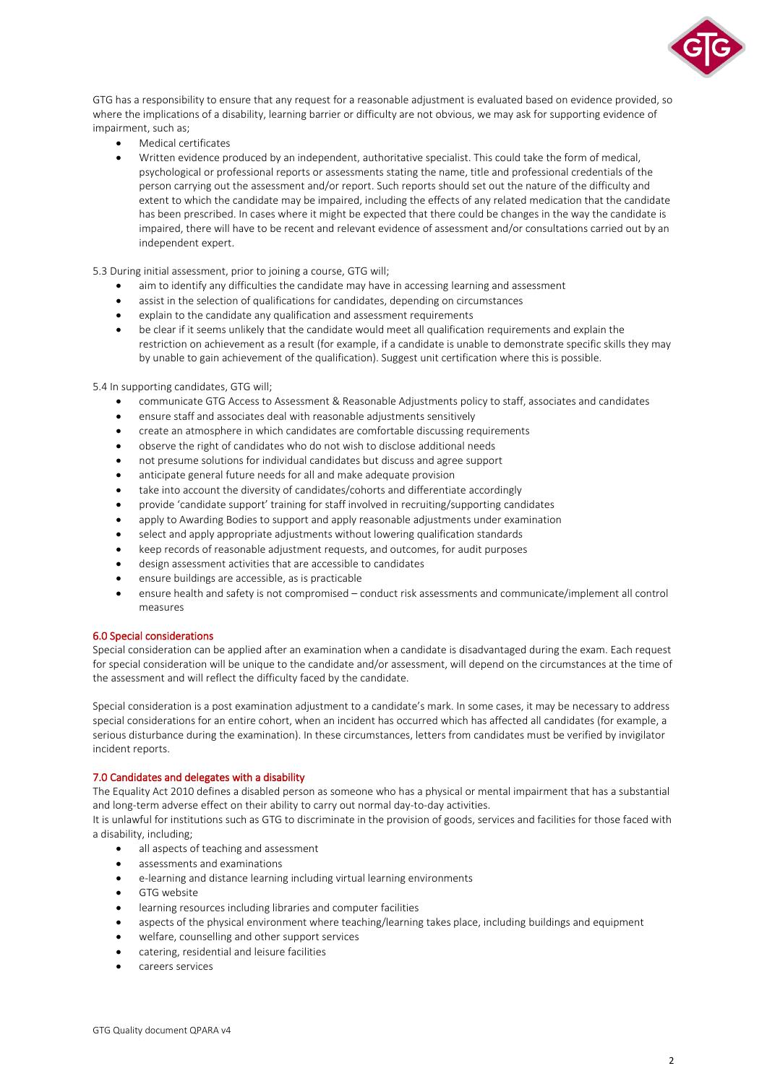

GTG has a responsibility to ensure that any request for a reasonable adjustment is evaluated based on evidence provided, so where the implications of a disability, learning barrier or difficulty are not obvious, we may ask for supporting evidence of impairment, such as;

- Medical certificates
- Written evidence produced by an independent, authoritative specialist. This could take the form of medical, psychological or professional reports or assessments stating the name, title and professional credentials of the person carrying out the assessment and/or report. Such reports should set out the nature of the difficulty and extent to which the candidate may be impaired, including the effects of any related medication that the candidate has been prescribed. In cases where it might be expected that there could be changes in the way the candidate is impaired, there will have to be recent and relevant evidence of assessment and/or consultations carried out by an independent expert.

5.3 During initial assessment, prior to joining a course, GTG will;

- aim to identify any difficulties the candidate may have in accessing learning and assessment
- assist in the selection of qualifications for candidates, depending on circumstances
- explain to the candidate any qualification and assessment requirements
- be clear if it seems unlikely that the candidate would meet all qualification requirements and explain the restriction on achievement as a result (for example, if a candidate is unable to demonstrate specific skills they may by unable to gain achievement of the qualification). Suggest unit certification where this is possible.

5.4 In supporting candidates, GTG will;

- communicate GTG Access to Assessment & Reasonable Adjustments policy to staff, associates and candidates
- ensure staff and associates deal with reasonable adjustments sensitively
- create an atmosphere in which candidates are comfortable discussing requirements
- observe the right of candidates who do not wish to disclose additional needs
- not presume solutions for individual candidates but discuss and agree support
- anticipate general future needs for all and make adequate provision
- take into account the diversity of candidates/cohorts and differentiate accordingly
- provide 'candidate support' training for staff involved in recruiting/supporting candidates
- apply to Awarding Bodies to support and apply reasonable adjustments under examination
- select and apply appropriate adjustments without lowering qualification standards
- keep records of reasonable adjustment requests, and outcomes, for audit purposes
- design assessment activities that are accessible to candidates
- ensure buildings are accessible, as is practicable
- ensure health and safety is not compromised conduct risk assessments and communicate/implement all control measures

#### 6.0 Special considerations

Special consideration can be applied after an examination when a candidate is disadvantaged during the exam. Each request for special consideration will be unique to the candidate and/or assessment, will depend on the circumstances at the time of the assessment and will reflect the difficulty faced by the candidate.

Special consideration is a post examination adjustment to a candidate's mark. In some cases, it may be necessary to address special considerations for an entire cohort, when an incident has occurred which has affected all candidates (for example, a serious disturbance during the examination). In these circumstances, letters from candidates must be verified by invigilator incident reports.

#### 7.0 Candidates and delegates with a disability

The Equality Act 2010 defines a disabled person as someone who has a physical or mental impairment that has a substantial and long-term adverse effect on their ability to carry out normal day-to-day activities.

It is unlawful for institutions such as GTG to discriminate in the provision of goods, services and facilities for those faced with a disability, including;

- all aspects of teaching and assessment
- assessments and examinations
- e-learning and distance learning including virtual learning environments
- GTG website
- learning resources including libraries and computer facilities
- aspects of the physical environment where teaching/learning takes place, including buildings and equipment
- welfare, counselling and other support services
- catering, residential and leisure facilities
- careers services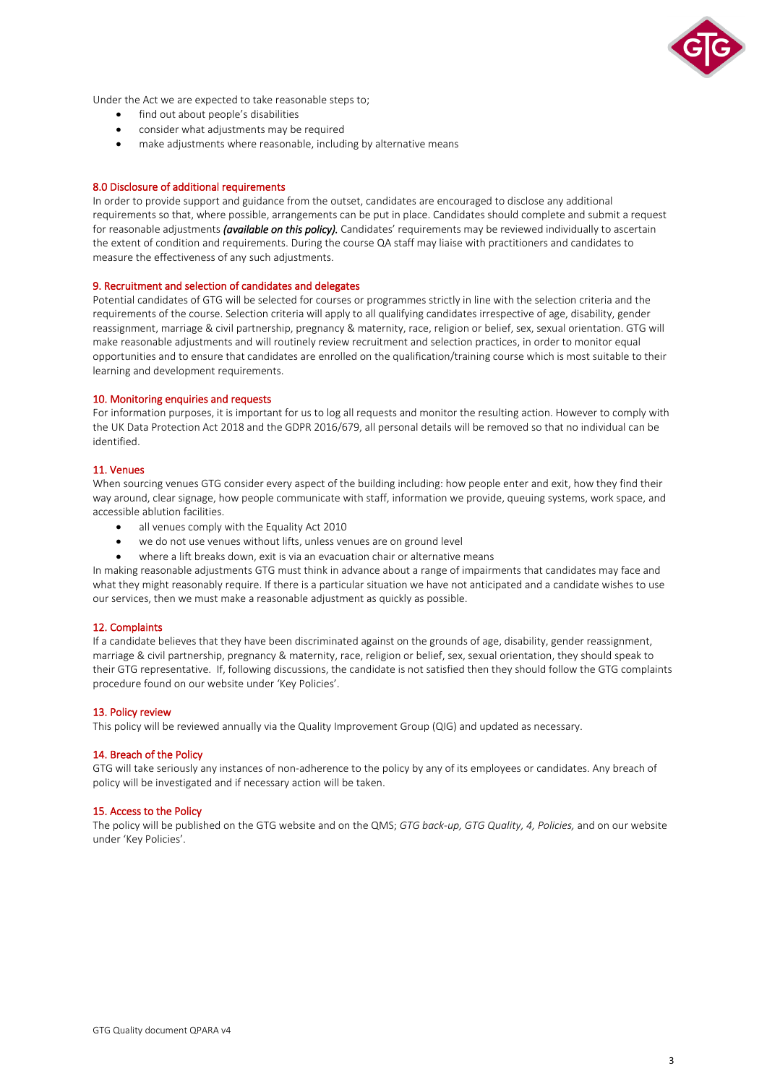

Under the Act we are expected to take reasonable steps to;

- find out about people's disabilities
- consider what adjustments may be required
- make adjustments where reasonable, including by alternative means

# 8.0 Disclosure of additional requirements

In order to provide support and guidance from the outset, candidates are encouraged to disclose any additional requirements so that, where possible, arrangements can be put in place. Candidates should complete and submit a request for reasonable adjustments *(available on this policy).* Candidates' requirements may be reviewed individually to ascertain the extent of condition and requirements. During the course QA staff may liaise with practitioners and candidates to measure the effectiveness of any such adjustments.

#### 9. Recruitment and selection of candidates and delegates

Potential candidates of GTG will be selected for courses or programmes strictly in line with the selection criteria and the requirements of the course. Selection criteria will apply to all qualifying candidates irrespective of age, disability, gender reassignment, marriage & civil partnership, pregnancy & maternity, race, religion or belief, sex, sexual orientation. GTG will make reasonable adjustments and will routinely review recruitment and selection practices, in order to monitor equal opportunities and to ensure that candidates are enrolled on the qualification/training course which is most suitable to their learning and development requirements.

#### 10. Monitoring enquiries and requests

For information purposes, it is important for us to log all requests and monitor the resulting action. However to comply with the UK Data Protection Act 2018 and the GDPR 2016/679, all personal details will be removed so that no individual can be identified.

#### 11. Venues

When sourcing venues GTG consider every aspect of the building including: how people enter and exit, how they find their way around, clear signage, how people communicate with staff, information we provide, queuing systems, work space, and accessible ablution facilities.

- all venues comply with the Equality Act 2010
- we do not use venues without lifts, unless venues are on ground level
- where a lift breaks down, exit is via an evacuation chair or alternative means

In making reasonable adjustments GTG must think in advance about a range of impairments that candidates may face and what they might reasonably require. If there is a particular situation we have not anticipated and a candidate wishes to use our services, then we must make a reasonable adjustment as quickly as possible.

# 12. Complaints

If a candidate believes that they have been discriminated against on the grounds of age, disability, gender reassignment, marriage & civil partnership, pregnancy & maternity, race, religion or belief, sex, sexual orientation, they should speak to their GTG representative. If, following discussions, the candidate is not satisfied then they should follow the GTG complaints procedure found on our website under 'Key Policies'.

#### 13. Policy review

This policy will be reviewed annually via the Quality Improvement Group (QIG) and updated as necessary.

# 14. Breach of the Policy

GTG will take seriously any instances of non-adherence to the policy by any of its employees or candidates. Any breach of policy will be investigated and if necessary action will be taken.

# 15. Access to the Policy

The policy will be published on the GTG website and on the QMS; *GTG back-up, GTG Quality, 4, Policies,* and on our website under 'Key Policies'.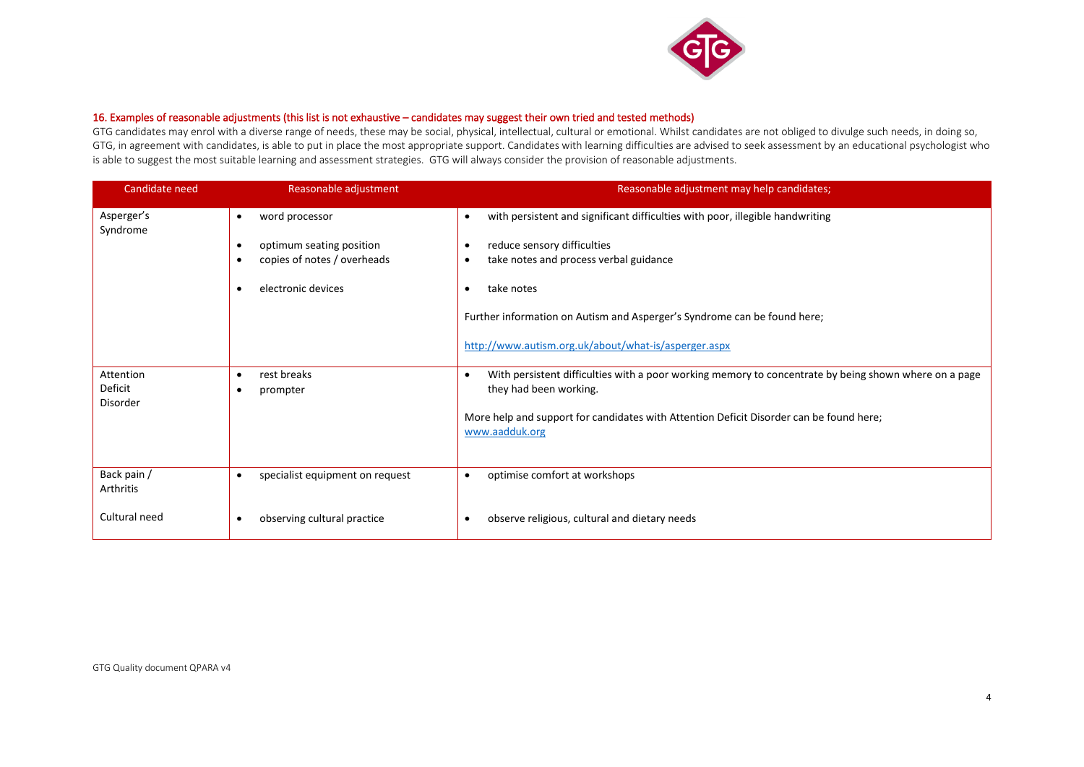

# 16. Examples of reasonable adjustments (this list is not exhaustive – candidates may suggest their own tried and tested methods)

GTG candidates may enrol with a diverse range of needs, these may be social, physical, intellectual, cultural or emotional. Whilst candidates are not obliged to divulge such needs, in doing so, GTG, in agreement with candidates, is able to put in place the most appropriate support. Candidates with learning difficulties are advised to seek assessment by an educational psychologist who is able to suggest the most suitable learning and assessment strategies. GTG will always consider the provision of reasonable adjustments.

| Candidate need                  | Reasonable adjustment                        | Reasonable adjustment may help candidates;                                                                                           |
|---------------------------------|----------------------------------------------|--------------------------------------------------------------------------------------------------------------------------------------|
| Asperger's<br>Syndrome          | word processor<br>$\bullet$                  | with persistent and significant difficulties with poor, illegible handwriting<br>$\bullet$                                           |
|                                 | optimum seating position                     | reduce sensory difficulties<br>$\bullet$                                                                                             |
|                                 | copies of notes / overheads                  | take notes and process verbal guidance<br>٠                                                                                          |
|                                 | electronic devices                           | take notes                                                                                                                           |
|                                 |                                              | Further information on Autism and Asperger's Syndrome can be found here;                                                             |
|                                 |                                              | http://www.autism.org.uk/about/what-is/asperger.aspx                                                                                 |
| Attention<br>Deficit            | rest breaks<br>٠<br>prompter                 | With persistent difficulties with a poor working memory to concentrate by being shown where on a page<br>٠<br>they had been working. |
| Disorder                        |                                              |                                                                                                                                      |
|                                 |                                              | More help and support for candidates with Attention Deficit Disorder can be found here;<br>www.aadduk.org                            |
|                                 |                                              |                                                                                                                                      |
| Back pain /<br><b>Arthritis</b> | specialist equipment on request<br>$\bullet$ | optimise comfort at workshops<br>$\bullet$                                                                                           |
| Cultural need                   | observing cultural practice<br>٠             | observe religious, cultural and dietary needs                                                                                        |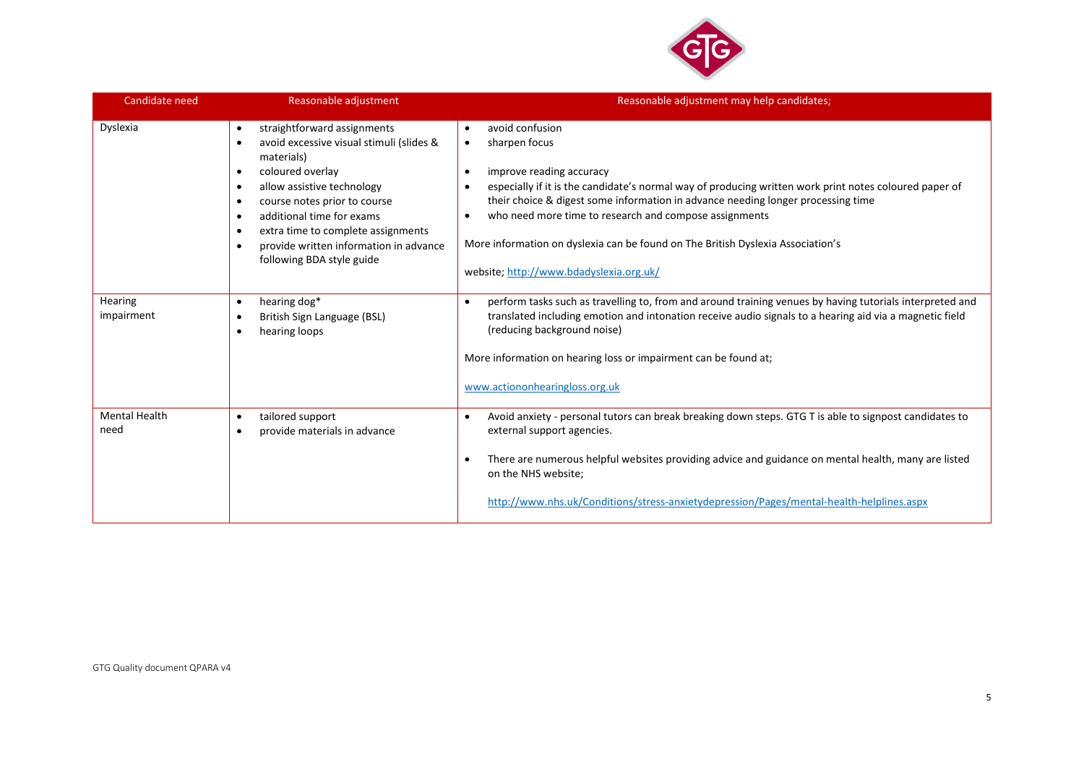

| Candidate need               | Reasonable adjustment                                                                                                                                                                                                                                                                                                                                                             | Reasonable adjustment may help candidates;                                                                                                                                                                                                                                                                                                                                                                                                                                                             |
|------------------------------|-----------------------------------------------------------------------------------------------------------------------------------------------------------------------------------------------------------------------------------------------------------------------------------------------------------------------------------------------------------------------------------|--------------------------------------------------------------------------------------------------------------------------------------------------------------------------------------------------------------------------------------------------------------------------------------------------------------------------------------------------------------------------------------------------------------------------------------------------------------------------------------------------------|
| Dyslexia                     | straightforward assignments<br>$\bullet$<br>avoid excessive visual stimuli (slides &<br>$\bullet$<br>materials)<br>coloured overlay<br>٠<br>allow assistive technology<br>٠<br>course notes prior to course<br>٠<br>additional time for exams<br>٠<br>extra time to complete assignments<br>٠<br>provide written information in advance<br>$\bullet$<br>following BDA style guide | avoid confusion<br>$\bullet$<br>sharpen focus<br>$\bullet$<br>improve reading accuracy<br>$\bullet$<br>especially if it is the candidate's normal way of producing written work print notes coloured paper of<br>$\bullet$<br>their choice & digest some information in advance needing longer processing time<br>who need more time to research and compose assignments<br>More information on dyslexia can be found on The British Dyslexia Association's<br>website; http://www.bdadyslexia.org.uk/ |
| Hearing<br>impairment        | hearing dog*<br>$\bullet$<br>British Sign Language (BSL)<br>٠<br>hearing loops<br>٠                                                                                                                                                                                                                                                                                               | perform tasks such as travelling to, from and around training venues by having tutorials interpreted and<br>translated including emotion and intonation receive audio signals to a hearing aid via a magnetic field<br>(reducing background noise)<br>More information on hearing loss or impairment can be found at;<br>www.actiononhearingloss.org.uk                                                                                                                                                |
| <b>Mental Health</b><br>need | tailored support<br>$\bullet$<br>provide materials in advance<br>$\bullet$                                                                                                                                                                                                                                                                                                        | Avoid anxiety - personal tutors can break breaking down steps. GTG T is able to signpost candidates to<br>external support agencies.<br>There are numerous helpful websites providing advice and guidance on mental health, many are listed<br>$\bullet$<br>on the NHS website;<br>http://www.nhs.uk/Conditions/stress-anxietydepression/Pages/mental-health-helplines.aspx                                                                                                                            |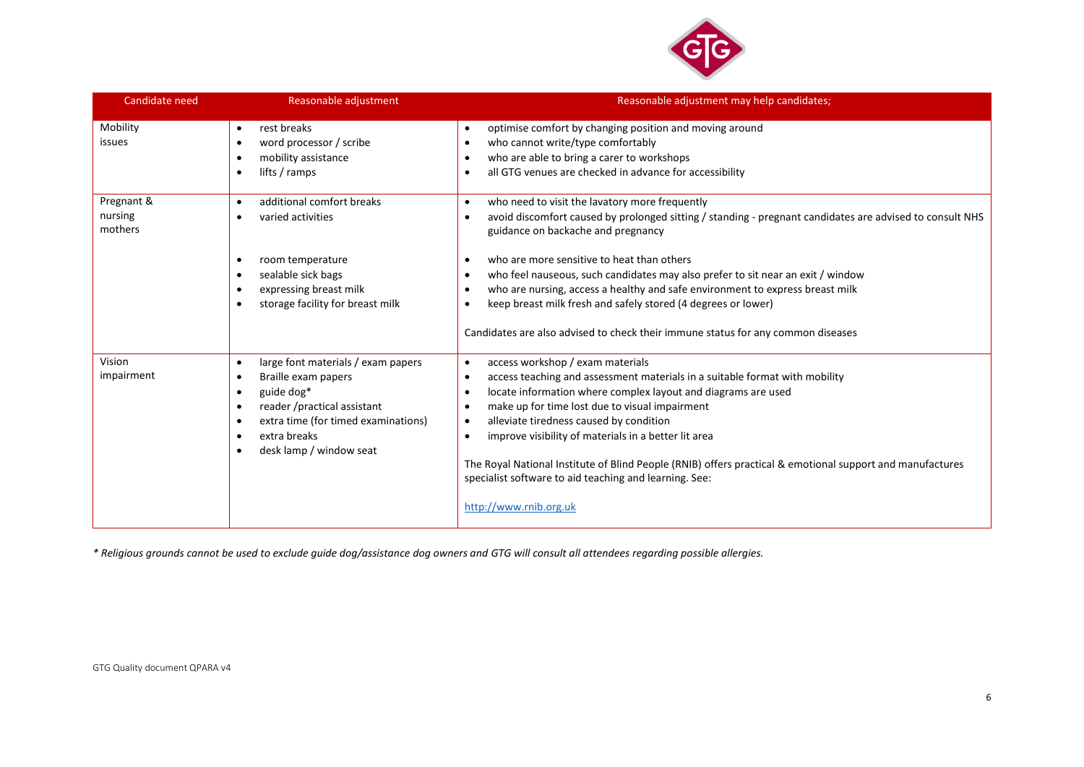

| Candidate need                   | Reasonable adjustment                                                                                                                                                                                                                        | Reasonable adjustment may help candidates;                                                                                                                                                                                                                                                                                                                                                                                                                                                                                                                                                                   |
|----------------------------------|----------------------------------------------------------------------------------------------------------------------------------------------------------------------------------------------------------------------------------------------|--------------------------------------------------------------------------------------------------------------------------------------------------------------------------------------------------------------------------------------------------------------------------------------------------------------------------------------------------------------------------------------------------------------------------------------------------------------------------------------------------------------------------------------------------------------------------------------------------------------|
| Mobility<br>issues               | rest breaks<br>$\bullet$<br>word processor / scribe<br>$\bullet$<br>mobility assistance<br>$\bullet$<br>lifts / ramps                                                                                                                        | optimise comfort by changing position and moving around<br>$\bullet$<br>who cannot write/type comfortably<br>$\bullet$<br>who are able to bring a carer to workshops<br>٠<br>all GTG venues are checked in advance for accessibility                                                                                                                                                                                                                                                                                                                                                                         |
| Pregnant &<br>nursing<br>mothers | additional comfort breaks<br>$\bullet$<br>varied activities<br>$\bullet$                                                                                                                                                                     | who need to visit the lavatory more frequently<br>$\bullet$<br>avoid discomfort caused by prolonged sitting / standing - pregnant candidates are advised to consult NHS<br>guidance on backache and pregnancy                                                                                                                                                                                                                                                                                                                                                                                                |
|                                  | room temperature<br>sealable sick bags<br>٠<br>expressing breast milk<br>storage facility for breast milk                                                                                                                                    | who are more sensitive to heat than others<br>who feel nauseous, such candidates may also prefer to sit near an exit / window<br>$\bullet$<br>who are nursing, access a healthy and safe environment to express breast milk<br>keep breast milk fresh and safely stored (4 degrees or lower)<br>٠<br>Candidates are also advised to check their immune status for any common diseases                                                                                                                                                                                                                        |
| Vision<br>impairment             | large font materials / exam papers<br>$\bullet$<br>Braille exam papers<br>$\bullet$<br>guide dog*<br>$\bullet$<br>reader /practical assistant<br>$\bullet$<br>extra time (for timed examinations)<br>extra breaks<br>desk lamp / window seat | access workshop / exam materials<br>$\bullet$<br>access teaching and assessment materials in a suitable format with mobility<br>٠<br>locate information where complex layout and diagrams are used<br>$\bullet$<br>make up for time lost due to visual impairment<br>$\bullet$<br>alleviate tiredness caused by condition<br>$\bullet$<br>improve visibility of materials in a better lit area<br>$\bullet$<br>The Royal National Institute of Blind People (RNIB) offers practical & emotional support and manufactures<br>specialist software to aid teaching and learning. See:<br>http://www.rnib.org.uk |

*\* Religious grounds cannot be used to exclude guide dog/assistance dog owners and GTG will consult all attendees regarding possible allergies.*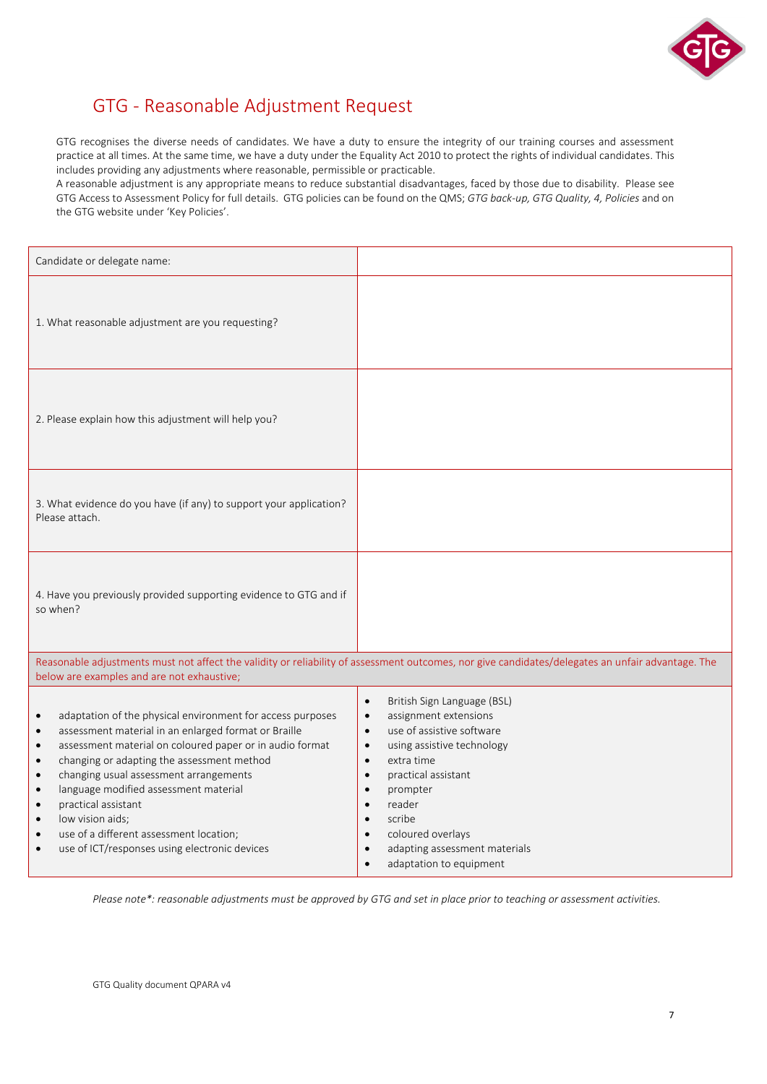

# GTG - Reasonable Adjustment Request

GTG recognises the diverse needs of candidates. We have a duty to ensure the integrity of our training courses and assessment practice at all times. At the same time, we have a duty under the Equality Act 2010 to protect the rights of individual candidates. This includes providing any adjustments where reasonable, permissible or practicable.

A reasonable adjustment is any appropriate means to reduce substantial disadvantages, faced by those due to disability. Please see GTG Access to Assessment Policy for full details. GTG policies can be found on the QMS; *GTG back-up, GTG Quality, 4, Policies* and on the GTG website under 'Key Policies'.

| Candidate or delegate name:                                                                                                                                                                                                                                                                                                                                                                                                                                                                                                                                                              |                                                                                                                                                                                                                                                                                                                                                                                                                                   |
|------------------------------------------------------------------------------------------------------------------------------------------------------------------------------------------------------------------------------------------------------------------------------------------------------------------------------------------------------------------------------------------------------------------------------------------------------------------------------------------------------------------------------------------------------------------------------------------|-----------------------------------------------------------------------------------------------------------------------------------------------------------------------------------------------------------------------------------------------------------------------------------------------------------------------------------------------------------------------------------------------------------------------------------|
| 1. What reasonable adjustment are you requesting?                                                                                                                                                                                                                                                                                                                                                                                                                                                                                                                                        |                                                                                                                                                                                                                                                                                                                                                                                                                                   |
| 2. Please explain how this adjustment will help you?                                                                                                                                                                                                                                                                                                                                                                                                                                                                                                                                     |                                                                                                                                                                                                                                                                                                                                                                                                                                   |
| 3. What evidence do you have (if any) to support your application?<br>Please attach.                                                                                                                                                                                                                                                                                                                                                                                                                                                                                                     |                                                                                                                                                                                                                                                                                                                                                                                                                                   |
| 4. Have you previously provided supporting evidence to GTG and if<br>so when?                                                                                                                                                                                                                                                                                                                                                                                                                                                                                                            |                                                                                                                                                                                                                                                                                                                                                                                                                                   |
| below are examples and are not exhaustive;                                                                                                                                                                                                                                                                                                                                                                                                                                                                                                                                               | Reasonable adjustments must not affect the validity or reliability of assessment outcomes, nor give candidates/delegates an unfair advantage. The                                                                                                                                                                                                                                                                                 |
| adaptation of the physical environment for access purposes<br>$\bullet$<br>assessment material in an enlarged format or Braille<br>$\bullet$<br>assessment material on coloured paper or in audio format<br>$\bullet$<br>changing or adapting the assessment method<br>$\bullet$<br>changing usual assessment arrangements<br>$\bullet$<br>language modified assessment material<br>$\bullet$<br>practical assistant<br>$\bullet$<br>low vision aids;<br>$\bullet$<br>use of a different assessment location;<br>$\bullet$<br>use of ICT/responses using electronic devices<br>$\bullet$ | British Sign Language (BSL)<br>$\bullet$<br>assignment extensions<br>$\bullet$<br>use of assistive software<br>$\bullet$<br>using assistive technology<br>$\bullet$<br>extra time<br>$\bullet$<br>practical assistant<br>$\bullet$<br>prompter<br>$\bullet$<br>reader<br>$\bullet$<br>scribe<br>$\bullet$<br>coloured overlays<br>$\bullet$<br>adapting assessment materials<br>$\bullet$<br>adaptation to equipment<br>$\bullet$ |

*Please note\*: reasonable adjustments must be approved by GTG and set in place prior to teaching or assessment activities.*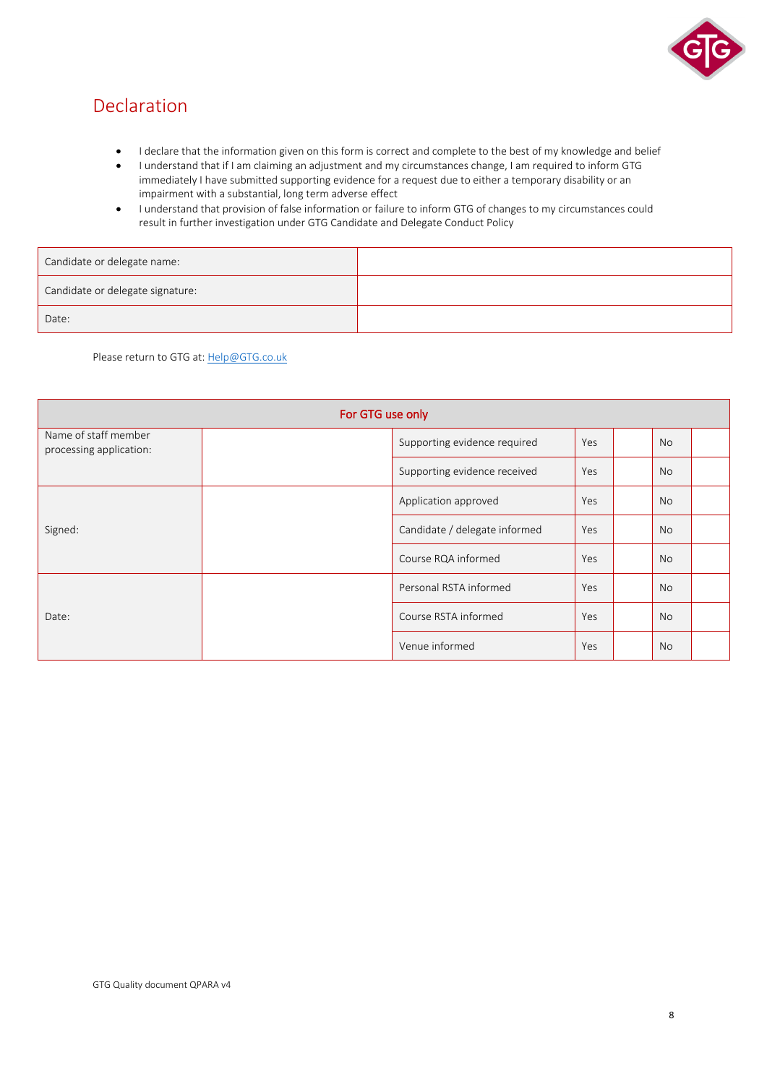

# Declaration

- I declare that the information given on this form is correct and complete to the best of my knowledge and belief
- I understand that if I am claiming an adjustment and my circumstances change, I am required to inform GTG immediately I have submitted supporting evidence for a request due to either a temporary disability or an impairment with a substantial, long term adverse effect
- I understand that provision of false information or failure to inform GTG of changes to my circumstances could result in further investigation under GTG Candidate and Delegate Conduct Policy

| Candidate or delegate name:      |  |
|----------------------------------|--|
| Candidate or delegate signature: |  |
| Date:                            |  |

Please return to GTG at: [Help@GTG.co.uk](mailto:Help@GTG.co.uk)

| For GTG use only                                |  |                               |     |  |           |  |
|-------------------------------------------------|--|-------------------------------|-----|--|-----------|--|
| Name of staff member<br>processing application: |  | Supporting evidence required  | Yes |  | No        |  |
|                                                 |  | Supporting evidence received  | Yes |  | <b>No</b> |  |
|                                                 |  | Application approved          | Yes |  | <b>No</b> |  |
| Signed:                                         |  | Candidate / delegate informed | Yes |  | <b>No</b> |  |
|                                                 |  | Course RQA informed           | Yes |  | <b>No</b> |  |
|                                                 |  | Personal RSTA informed        | Yes |  | <b>No</b> |  |
| Date:                                           |  | Course RSTA informed          | Yes |  | <b>No</b> |  |
|                                                 |  | Venue informed                | Yes |  | <b>No</b> |  |